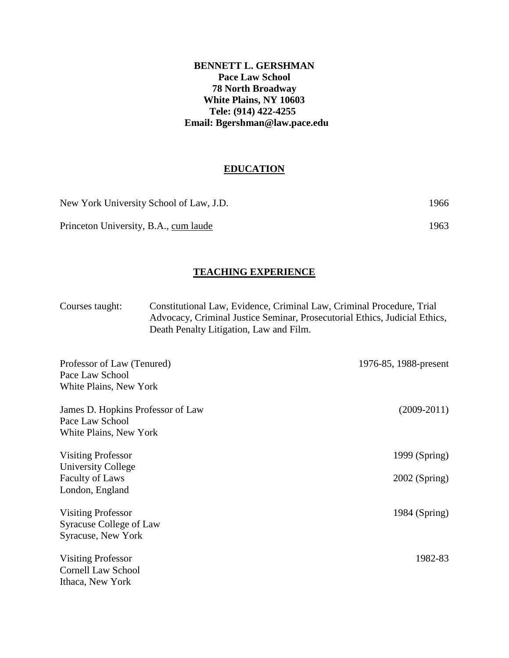## **BENNETT L. GERSHMAN Pace Law School 78 North Broadway White Plains, NY 10603 Tele: (914) 422-4255 Email: Bgershman@law.pace.edu**

# **EDUCATION**

| New York University School of Law, J.D. | 1966 |
|-----------------------------------------|------|
| Princeton University, B.A., cum laude   | 1963 |

## **TEACHING EXPERIENCE**

Courses taught: Constitutional Law, Evidence, Criminal Law, Criminal Procedure, Trial Advocacy, Criminal Justice Seminar, Prosecutorial Ethics, Judicial Ethics, Death Penalty Litigation, Law and Film.

| Professor of Law (Tenured)<br>Pace Law School<br>White Plains, New York | 1976-85, 1988-present |
|-------------------------------------------------------------------------|-----------------------|
| James D. Hopkins Professor of Law                                       | $(2009-2011)$         |
| Pace Law School                                                         |                       |
| White Plains, New York                                                  |                       |
| <b>Visiting Professor</b>                                               | 1999 (Spring)         |
| University College                                                      |                       |
| <b>Faculty of Laws</b>                                                  | $2002$ (Spring)       |
| London, England                                                         |                       |
| <b>Visiting Professor</b>                                               | 1984 (Spring)         |
| <b>Syracuse College of Law</b>                                          |                       |
| Syracuse, New York                                                      |                       |
| <b>Visiting Professor</b>                                               | 1982-83               |
| <b>Cornell Law School</b>                                               |                       |
| Ithaca, New York                                                        |                       |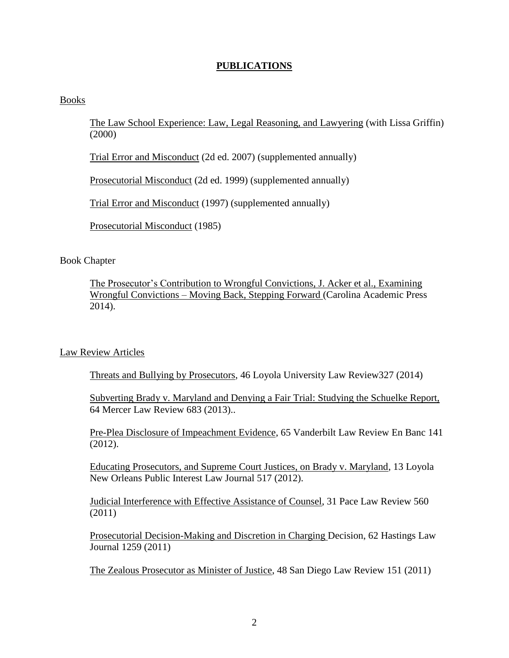## **PUBLICATIONS**

#### Books

The Law School Experience: Law, Legal Reasoning, and Lawyering (with Lissa Griffin) (2000)

Trial Error and Misconduct (2d ed. 2007) (supplemented annually)

Prosecutorial Misconduct (2d ed. 1999) (supplemented annually)

Trial Error and Misconduct (1997) (supplemented annually)

Prosecutorial Misconduct (1985)

## Book Chapter

The Prosecutor's Contribution to Wrongful Convictions, J. Acker et al., Examining Wrongful Convictions – Moving Back, Stepping Forward (Carolina Academic Press 2014).

## Law Review Articles

Threats and Bullying by Prosecutors, 46 Loyola University Law Review327 (2014)

Subverting Brady v. Maryland and Denying a Fair Trial: Studying the Schuelke Report, 64 Mercer Law Review 683 (2013)..

Pre-Plea Disclosure of Impeachment Evidence, 65 Vanderbilt Law Review En Banc 141 (2012).

Educating Prosecutors, and Supreme Court Justices, on Brady v. Maryland, 13 Loyola New Orleans Public Interest Law Journal 517 (2012).

Judicial Interference with Effective Assistance of Counsel, 31 Pace Law Review 560 (2011)

Prosecutorial Decision-Making and Discretion in Charging Decision, 62 Hastings Law Journal 1259 (2011)

The Zealous Prosecutor as Minister of Justice, 48 San Diego Law Review 151 (2011)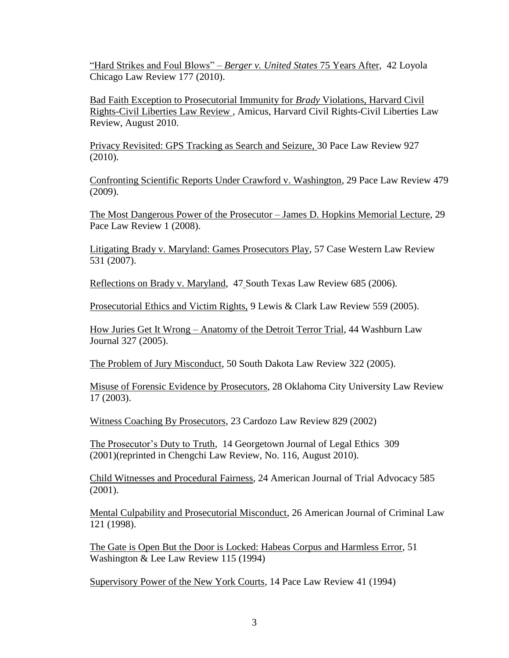"Hard Strikes and Foul Blows" – *Berger v. United States* 75 Years After, 42 Loyola Chicago Law Review 177 (2010).

Bad Faith Exception to Prosecutorial Immunity for *Brady* Violations, Harvard Civil Rights-Civil Liberties Law Review , Amicus, Harvard Civil Rights-Civil Liberties Law Review, August 2010.

Privacy Revisited: GPS Tracking as Search and Seizure, 30 Pace Law Review 927 (2010).

Confronting Scientific Reports Under Crawford v. Washington, 29 Pace Law Review 479 (2009).

The Most Dangerous Power of the Prosecutor – James D. Hopkins Memorial Lecture, 29 Pace Law Review 1 (2008).

Litigating Brady v. Maryland: Games Prosecutors Play, 57 Case Western Law Review 531 (2007).

Reflections on Brady v. Maryland, 47 South Texas Law Review 685 (2006).

Prosecutorial Ethics and Victim Rights, 9 Lewis & Clark Law Review 559 (2005).

How Juries Get It Wrong – Anatomy of the Detroit Terror Trial, 44 Washburn Law Journal 327 (2005).

The Problem of Jury Misconduct, 50 South Dakota Law Review 322 (2005).

Misuse of Forensic Evidence by Prosecutors, 28 Oklahoma City University Law Review 17 (2003).

Witness Coaching By Prosecutors, 23 Cardozo Law Review 829 (2002)

The Prosecutor's Duty to Truth, 14 Georgetown Journal of Legal Ethics 309 (2001)(reprinted in Chengchi Law Review, No. 116, August 2010).

Child Witnesses and Procedural Fairness, 24 American Journal of Trial Advocacy 585 (2001).

Mental Culpability and Prosecutorial Misconduct, 26 American Journal of Criminal Law 121 (1998).

The Gate is Open But the Door is Locked: Habeas Corpus and Harmless Error, 51 Washington & Lee Law Review 115 (1994)

Supervisory Power of the New York Courts, 14 Pace Law Review 41 (1994)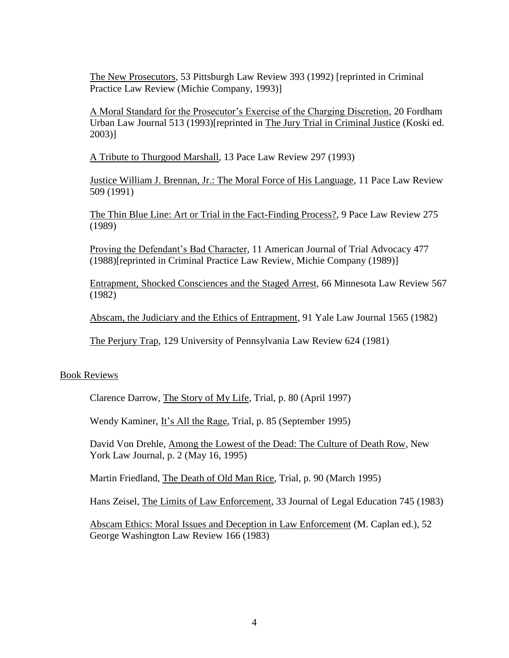The New Prosecutors, 53 Pittsburgh Law Review 393 (1992) [reprinted in Criminal Practice Law Review (Michie Company, 1993)]

A Moral Standard for the Prosecutor's Exercise of the Charging Discretion, 20 Fordham Urban Law Journal 513 (1993)[reprinted in The Jury Trial in Criminal Justice (Koski ed. 2003)]

A Tribute to Thurgood Marshall, 13 Pace Law Review 297 (1993)

Justice William J. Brennan, Jr.: The Moral Force of His Language, 11 Pace Law Review 509 (1991)

The Thin Blue Line: Art or Trial in the Fact-Finding Process?, 9 Pace Law Review 275 (1989)

Proving the Defendant's Bad Character, 11 American Journal of Trial Advocacy 477 (1988)[reprinted in Criminal Practice Law Review, Michie Company (1989)]

Entrapment, Shocked Consciences and the Staged Arrest, 66 Minnesota Law Review 567 (1982)

Abscam, the Judiciary and the Ethics of Entrapment, 91 Yale Law Journal 1565 (1982)

The Perjury Trap, 129 University of Pennsylvania Law Review 624 (1981)

## Book Reviews

Clarence Darrow, The Story of My Life, Trial, p. 80 (April 1997)

Wendy Kaminer, It's All the Rage, Trial, p. 85 (September 1995)

David Von Drehle, Among the Lowest of the Dead: The Culture of Death Row, New York Law Journal, p. 2 (May 16, 1995)

Martin Friedland, The Death of Old Man Rice, Trial, p. 90 (March 1995)

Hans Zeisel, The Limits of Law Enforcement, 33 Journal of Legal Education 745 (1983)

Abscam Ethics: Moral Issues and Deception in Law Enforcement (M. Caplan ed.), 52 George Washington Law Review 166 (1983)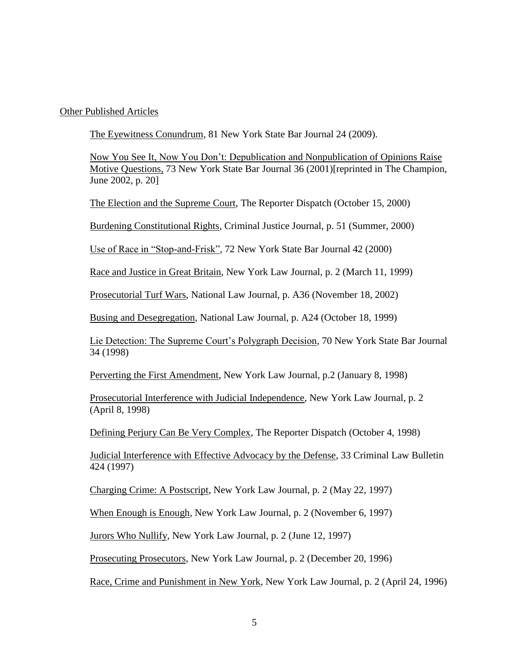Other Published Articles

The Eyewitness Conundrum, 81 New York State Bar Journal 24 (2009).

Now You See It, Now You Don't: Depublication and Nonpublication of Opinions Raise Motive Questions, 73 New York State Bar Journal 36 (2001)[reprinted in The Champion, June 2002, p. 20]

The Election and the Supreme Court, The Reporter Dispatch (October 15, 2000)

Burdening Constitutional Rights, Criminal Justice Journal, p. 51 (Summer, 2000)

Use of Race in "Stop-and-Frisk", 72 New York State Bar Journal 42 (2000)

Race and Justice in Great Britain, New York Law Journal, p. 2 (March 11, 1999)

Prosecutorial Turf Wars, National Law Journal, p. A36 (November 18, 2002)

Busing and Desegregation, National Law Journal, p. A24 (October 18, 1999)

Lie Detection: The Supreme Court's Polygraph Decision, 70 New York State Bar Journal 34 (1998)

Perverting the First Amendment, New York Law Journal, p.2 (January 8, 1998)

Prosecutorial Interference with Judicial Independence, New York Law Journal, p. 2 (April 8, 1998)

Defining Perjury Can Be Very Complex, The Reporter Dispatch (October 4, 1998)

Judicial Interference with Effective Advocacy by the Defense, 33 Criminal Law Bulletin 424 (1997)

Charging Crime: A Postscript, New York Law Journal, p. 2 (May 22, 1997)

When Enough is Enough, New York Law Journal, p. 2 (November 6, 1997)

Jurors Who Nullify, New York Law Journal, p. 2 (June 12, 1997)

Prosecuting Prosecutors, New York Law Journal, p. 2 (December 20, 1996)

Race, Crime and Punishment in New York, New York Law Journal, p. 2 (April 24, 1996)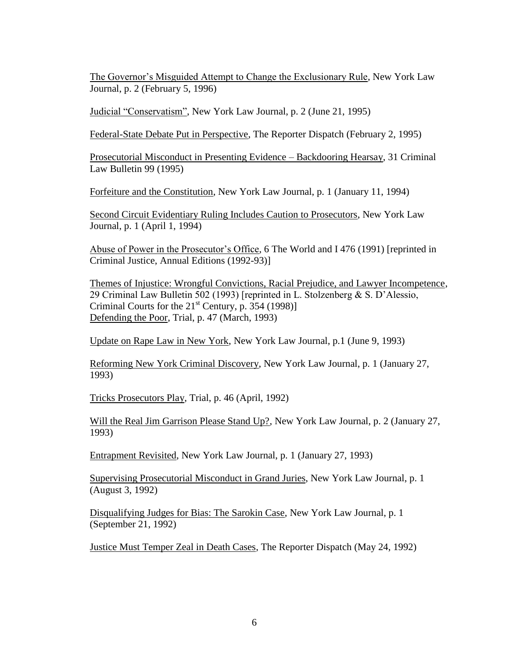The Governor's Misguided Attempt to Change the Exclusionary Rule, New York Law Journal, p. 2 (February 5, 1996)

Judicial "Conservatism", New York Law Journal, p. 2 (June 21, 1995)

Federal-State Debate Put in Perspective, The Reporter Dispatch (February 2, 1995)

Prosecutorial Misconduct in Presenting Evidence – Backdooring Hearsay, 31 Criminal Law Bulletin 99 (1995)

Forfeiture and the Constitution, New York Law Journal, p. 1 (January 11, 1994)

Second Circuit Evidentiary Ruling Includes Caution to Prosecutors, New York Law Journal, p. 1 (April 1, 1994)

Abuse of Power in the Prosecutor's Office, 6 The World and I 476 (1991) [reprinted in Criminal Justice, Annual Editions (1992-93)]

Themes of Injustice: Wrongful Convictions, Racial Prejudice, and Lawyer Incompetence, 29 Criminal Law Bulletin 502 (1993) [reprinted in L. Stolzenberg & S. D'Alessio, Criminal Courts for the  $21<sup>st</sup>$  Century, p. 354 (1998)] Defending the Poor, Trial, p. 47 (March, 1993)

Update on Rape Law in New York, New York Law Journal, p.1 (June 9, 1993)

Reforming New York Criminal Discovery, New York Law Journal, p. 1 (January 27, 1993)

Tricks Prosecutors Play, Trial, p. 46 (April, 1992)

Will the Real Jim Garrison Please Stand Up?, New York Law Journal, p. 2 (January 27, 1993)

Entrapment Revisited, New York Law Journal, p. 1 (January 27, 1993)

Supervising Prosecutorial Misconduct in Grand Juries, New York Law Journal, p. 1 (August 3, 1992)

Disqualifying Judges for Bias: The Sarokin Case, New York Law Journal, p. 1 (September 21, 1992)

Justice Must Temper Zeal in Death Cases, The Reporter Dispatch (May 24, 1992)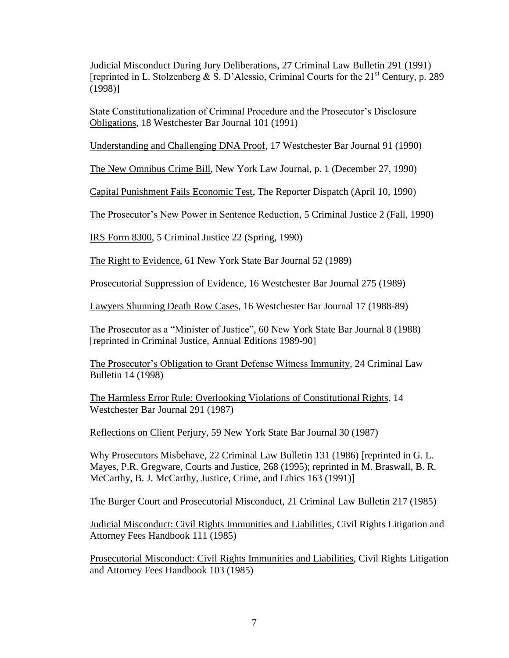Judicial Misconduct During Jury Deliberations, 27 Criminal Law Bulletin 291 (1991) [reprinted in L. Stolzenberg & S. D'Alessio, Criminal Courts for the  $21<sup>st</sup>$  Century, p. 289 (1998)]

State Constitutionalization of Criminal Procedure and the Prosecutor's Disclosure Obligations, 18 Westchester Bar Journal 101 (1991)

Understanding and Challenging DNA Proof, 17 Westchester Bar Journal 91 (1990)

The New Omnibus Crime Bill, New York Law Journal, p. 1 (December 27, 1990)

Capital Punishment Fails Economic Test, The Reporter Dispatch (April 10, 1990)

The Prosecutor's New Power in Sentence Reduction, 5 Criminal Justice 2 (Fall, 1990)

IRS Form 8300, 5 Criminal Justice 22 (Spring, 1990)

The Right to Evidence, 61 New York State Bar Journal 52 (1989)

Prosecutorial Suppression of Evidence, 16 Westchester Bar Journal 275 (1989)

Lawyers Shunning Death Row Cases, 16 Westchester Bar Journal 17 (1988-89)

The Prosecutor as a "Minister of Justice", 60 New York State Bar Journal 8 (1988) [reprinted in Criminal Justice, Annual Editions 1989-90]

The Prosecutor's Obligation to Grant Defense Witness Immunity, 24 Criminal Law Bulletin 14 (1998)

The Harmless Error Rule: Overlooking Violations of Constitutional Rights, 14 Westchester Bar Journal 291 (1987)

Reflections on Client Perjury, 59 New York State Bar Journal 30 (1987)

Why Prosecutors Misbehave, 22 Criminal Law Bulletin 131 (1986) [reprinted in G. L. Mayes, P.R. Gregware, Courts and Justice, 268 (1995); reprinted in M. Braswall, B. R. McCarthy, B. J. McCarthy, Justice, Crime, and Ethics 163 (1991)]

The Burger Court and Prosecutorial Misconduct, 21 Criminal Law Bulletin 217 (1985)

Judicial Misconduct: Civil Rights Immunities and Liabilities, Civil Rights Litigation and Attorney Fees Handbook 111 (1985)

Prosecutorial Misconduct: Civil Rights Immunities and Liabilities, Civil Rights Litigation and Attorney Fees Handbook 103 (1985)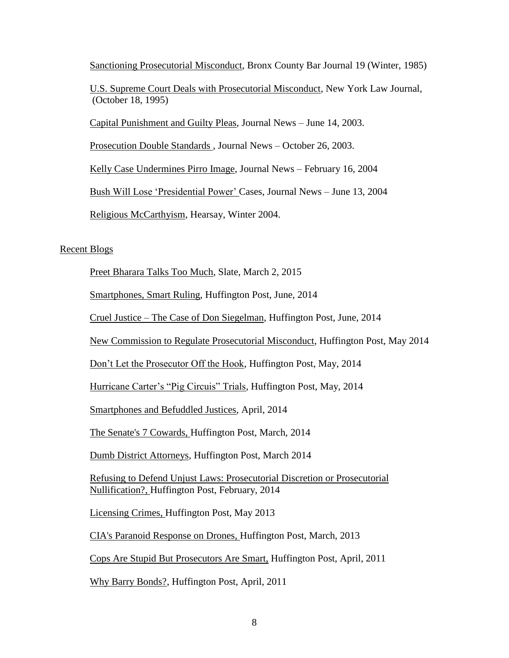Sanctioning Prosecutorial Misconduct, Bronx County Bar Journal 19 (Winter, 1985)

U.S. Supreme Court Deals with Prosecutorial Misconduct, New York Law Journal, (October 18, 1995)

Capital Punishment and Guilty Pleas, Journal News – June 14, 2003.

Prosecution Double Standards , Journal News – October 26, 2003.

Kelly Case Undermines Pirro Image, Journal News – February 16, 2004

Bush Will Lose 'Presidential Power' Cases, Journal News – June 13, 2004

Religious McCarthyism, Hearsay, Winter 2004.

## Recent Blogs

Preet Bharara Talks Too Much, Slate, March 2, 2015

Smartphones, Smart Ruling, Huffington Post, June, 2014

Cruel Justice – The Case of Don Siegelman, Huffington Post, June, 2014

New Commission to Regulate Prosecutorial Misconduct, Huffington Post, May 2014

Don't Let the Prosecutor Off the Hook, Huffington Post, May, 2014

Hurricane Carter's "Pig Circuis" Trials, Huffington Post, May, 2014

Smartphones and Befuddled Justices, April, 2014

The Senate's 7 Cowards, Huffington Post, March, 2014

Dumb District Attorneys, Huffington Post, March 2014

Refusing to Defend Unjust Laws: Prosecutorial Discretion or Prosecutorial Nullification?, Huffington Post, February, 2014

Licensing Crimes, Huffington Post, May 2013

CIA's Paranoid Response on Drones, Huffington Post, March, 2013

Cops Are Stupid But Prosecutors Are Smart, Huffington Post, April, 2011

Why Barry Bonds?, Huffington Post, April, 2011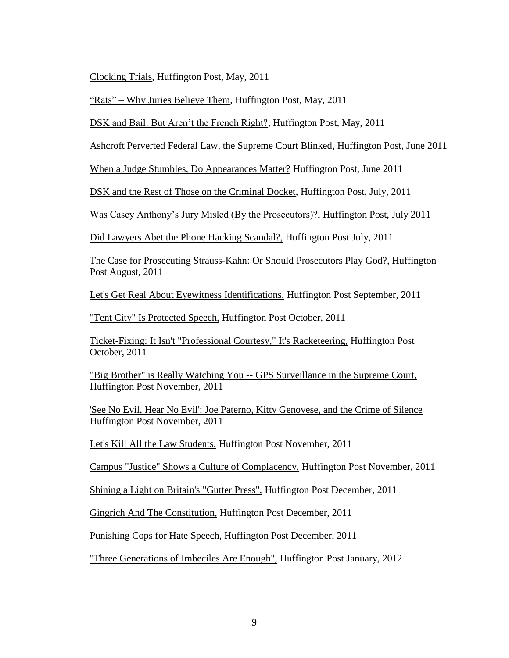Clocking Trials, Huffington Post, May, 2011

"Rats" – Why Juries Believe Them, Huffington Post, May, 2011

DSK and Bail: But Aren't the French Right?, Huffington Post, May, 2011

Ashcroft Perverted Federal Law, the Supreme Court Blinked, Huffington Post, June 2011

When a Judge Stumbles, Do Appearances Matter? Huffington Post, June 2011

DSK and the Rest of Those on the Criminal Docket, Huffington Post, July, 2011

Was Casey Anthony's Jury Misled (By the Prosecutors)?, Huffington Post, July 2011

Did Lawyers Abet the Phone Hacking Scandal?, Huffington Post July, 2011

The Case for Prosecuting Strauss-Kahn: Or Should Prosecutors Play God?, Huffington Post August, 2011

Let's Get Real About Eyewitness Identifications, Huffington Post September, 2011

"Tent City" Is Protected Speech, Huffington Post October, 2011

Ticket-Fixing: It Isn't "Professional Courtesy," It's Racketeering, Huffington Post October, 2011

"Big Brother" is Really Watching You -- GPS Surveillance in the Supreme Court, Huffington Post November, 2011

'See No Evil, Hear No Evil': Joe Paterno, Kitty Genovese, and the Crime of Silence Huffington Post November, 2011

Let's Kill All the Law Students, Huffington Post November, 2011

Campus "Justice" Shows a Culture of Complacency, Huffington Post November, 2011

Shining a Light on Britain's "Gutter Press", Huffington Post December, 2011

Gingrich And The Constitution, Huffington Post December, 2011

Punishing Cops for Hate Speech, Huffington Post December, 2011

"Three Generations of Imbeciles Are Enough", Huffington Post January, 2012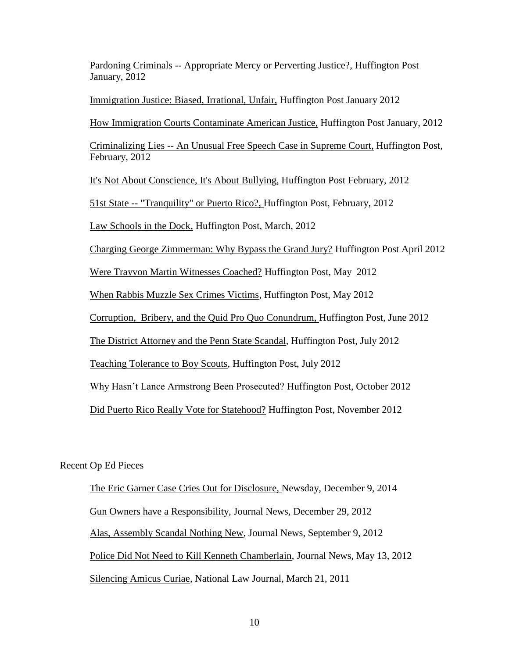Pardoning Criminals -- Appropriate Mercy or Perverting Justice?, Huffington Post January, 2012

Immigration Justice: Biased, Irrational, Unfair, Huffington Post January 2012

How Immigration Courts Contaminate American Justice, Huffington Post January, 2012

Criminalizing Lies -- An Unusual Free Speech Case in Supreme Court, Huffington Post, February, 2012

It's Not About Conscience, It's About Bullying, Huffington Post February, 2012

51st State -- "Tranquility" or Puerto Rico?, Huffington Post, February, 2012

Law Schools in the Dock, Huffington Post, March, 2012

Charging George Zimmerman: Why Bypass the Grand Jury? Huffington Post April 2012

Were Trayvon Martin Witnesses Coached? Huffington Post, May 2012

When Rabbis Muzzle Sex Crimes Victims, Huffington Post, May 2012

Corruption, Bribery, and the Quid Pro Quo Conundrum, Huffington Post, June 2012

The District Attorney and the Penn State Scandal, Huffington Post, July 2012

Teaching Tolerance to Boy Scouts, Huffington Post, July 2012

Why Hasn't Lance Armstrong Been Prosecuted? Huffington Post, October 2012

Did Puerto Rico Really Vote for Statehood? Huffington Post, November 2012

## Recent Op Ed Pieces

The Eric Garner Case Cries Out for Disclosure, Newsday, December 9, 2014 Gun Owners have a Responsibility, Journal News, December 29, 2012 Alas, Assembly Scandal Nothing New, Journal News, September 9, 2012 Police Did Not Need to Kill Kenneth Chamberlain, Journal News, May 13, 2012 Silencing Amicus Curiae, National Law Journal, March 21, 2011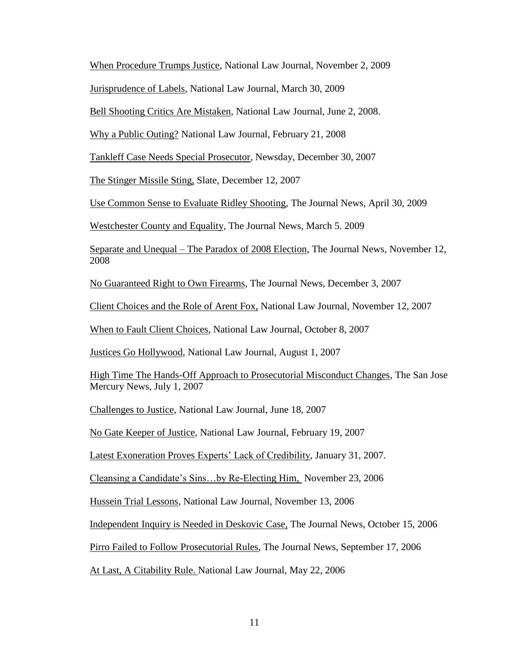When Procedure Trumps Justice, National Law Journal, November 2, 2009

Jurisprudence of Labels, National Law Journal, March 30, 2009

Bell Shooting Critics Are Mistaken, National Law Journal, June 2, 2008.

Why a Public Outing? National Law Journal, February 21, 2008

Tankleff Case Needs Special Prosecutor, Newsday, December 30, 2007

The Stinger Missile Sting, Slate, December 12, 2007

Use Common Sense to Evaluate Ridley Shooting, The Journal News, April 30, 2009

Westchester County and Equality, The Journal News, March 5. 2009

Separate and Unequal – The Paradox of 2008 Election, The Journal News, November 12, 2008

No Guaranteed Right to Own Firearms, The Journal News, December 3, 2007

Client Choices and the Role of Arent Fox, National Law Journal, November 12, 2007

When to Fault Client Choices, National Law Journal, October 8, 2007

Justices Go Hollywood, National Law Journal, August 1, 2007

High Time The Hands-Off Approach to Prosecutorial Misconduct Changes, The San Jose Mercury News, July 1, 2007

Challenges to Justice, National Law Journal, June 18, 2007

No Gate Keeper of Justice, National Law Journal, February 19, 2007

Latest Exoneration Proves Experts' Lack of Credibility, January 31, 2007.

Cleansing a Candidate's Sins…by Re-Electing Him, November 23, 2006

Hussein Trial Lessons, National Law Journal, November 13, 2006

Independent Inquiry is Needed in Deskovic Case, The Journal News, October 15, 2006

Pirro Failed to Follow Prosecutorial Rules, The Journal News, September 17, 2006

At Last, A Citability Rule. National Law Journal, May 22, 2006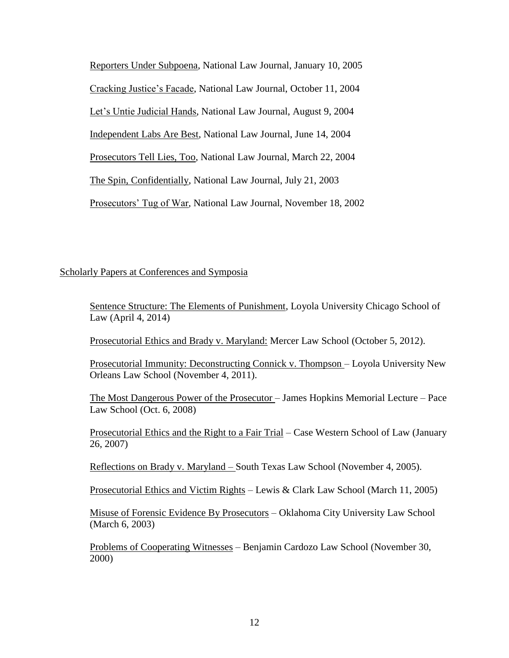Reporters Under Subpoena, National Law Journal, January 10, 2005 Cracking Justice's Facade, National Law Journal, October 11, 2004 Let's Untie Judicial Hands, National Law Journal, August 9, 2004 Independent Labs Are Best, National Law Journal, June 14, 2004 Prosecutors Tell Lies, Too, National Law Journal, March 22, 2004 The Spin, Confidentially, National Law Journal, July 21, 2003 Prosecutors' Tug of War, National Law Journal, November 18, 2002

## Scholarly Papers at Conferences and Symposia

Sentence Structure: The Elements of Punishment, Loyola University Chicago School of Law (April 4, 2014)

Prosecutorial Ethics and Brady v. Maryland: Mercer Law School (October 5, 2012).

Prosecutorial Immunity: Deconstructing Connick v. Thompson – Loyola University New Orleans Law School (November 4, 2011).

The Most Dangerous Power of the Prosecutor – James Hopkins Memorial Lecture – Pace Law School (Oct. 6, 2008)

Prosecutorial Ethics and the Right to a Fair Trial – Case Western School of Law (January 26, 2007)

Reflections on Brady v. Maryland – South Texas Law School (November 4, 2005).

Prosecutorial Ethics and Victim Rights – Lewis & Clark Law School (March 11, 2005)

Misuse of Forensic Evidence By Prosecutors – Oklahoma City University Law School (March 6, 2003)

Problems of Cooperating Witnesses – Benjamin Cardozo Law School (November 30, 2000)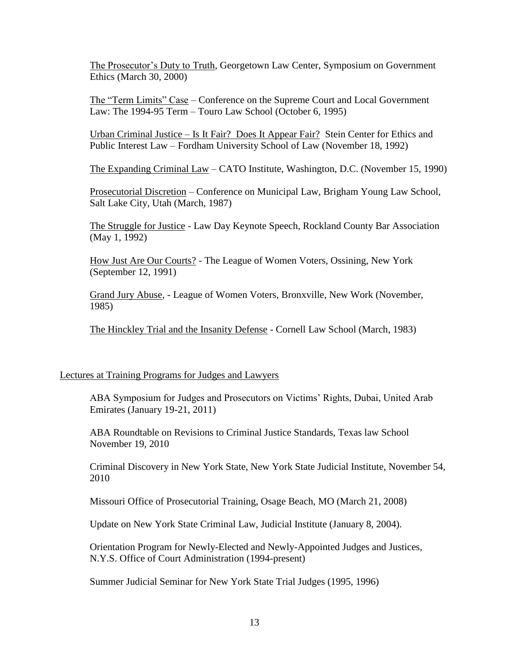The Prosecutor's Duty to Truth, Georgetown Law Center, Symposium on Government Ethics (March 30, 2000)

The "Term Limits" Case – Conference on the Supreme Court and Local Government Law: The 1994-95 Term – Touro Law School (October 6, 1995)

Urban Criminal Justice – Is It Fair? Does It Appear Fair? Stein Center for Ethics and Public Interest Law – Fordham University School of Law (November 18, 1992)

The Expanding Criminal Law – CATO Institute, Washington, D.C. (November 15, 1990)

Prosecutorial Discretion – Conference on Municipal Law, Brigham Young Law School, Salt Lake City, Utah (March, 1987)

The Struggle for Justice - Law Day Keynote Speech, Rockland County Bar Association (May 1, 1992)

How Just Are Our Courts? - The League of Women Voters, Ossining, New York (September 12, 1991)

Grand Jury Abuse, - League of Women Voters, Bronxville, New Work (November, 1985)

The Hinckley Trial and the Insanity Defense - Cornell Law School (March, 1983)

## Lectures at Training Programs for Judges and Lawyers

ABA Symposium for Judges and Prosecutors on Victims' Rights, Dubai, United Arab Emirates (January 19-21, 2011)

ABA Roundtable on Revisions to Criminal Justice Standards, Texas law School November 19, 2010

Criminal Discovery in New York State, New York State Judicial Institute, November 54, 2010

Missouri Office of Prosecutorial Training, Osage Beach, MO (March 21, 2008)

Update on New York State Criminal Law, Judicial Institute (January 8, 2004).

Orientation Program for Newly-Elected and Newly-Appointed Judges and Justices, N.Y.S. Office of Court Administration (1994-present)

Summer Judicial Seminar for New York State Trial Judges (1995, 1996)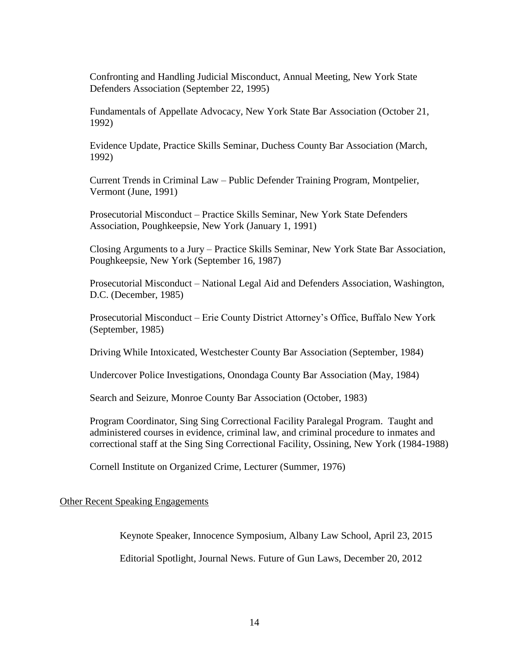Confronting and Handling Judicial Misconduct, Annual Meeting, New York State Defenders Association (September 22, 1995)

Fundamentals of Appellate Advocacy, New York State Bar Association (October 21, 1992)

Evidence Update, Practice Skills Seminar, Duchess County Bar Association (March, 1992)

Current Trends in Criminal Law – Public Defender Training Program, Montpelier, Vermont (June, 1991)

Prosecutorial Misconduct – Practice Skills Seminar, New York State Defenders Association, Poughkeepsie, New York (January 1, 1991)

Closing Arguments to a Jury – Practice Skills Seminar, New York State Bar Association, Poughkeepsie, New York (September 16, 1987)

Prosecutorial Misconduct – National Legal Aid and Defenders Association, Washington, D.C. (December, 1985)

Prosecutorial Misconduct – Erie County District Attorney's Office, Buffalo New York (September, 1985)

Driving While Intoxicated, Westchester County Bar Association (September, 1984)

Undercover Police Investigations, Onondaga County Bar Association (May, 1984)

Search and Seizure, Monroe County Bar Association (October, 1983)

Program Coordinator, Sing Sing Correctional Facility Paralegal Program. Taught and administered courses in evidence, criminal law, and criminal procedure to inmates and correctional staff at the Sing Sing Correctional Facility, Ossining, New York (1984-1988)

Cornell Institute on Organized Crime, Lecturer (Summer, 1976)

## Other Recent Speaking Engagements

Keynote Speaker, Innocence Symposium, Albany Law School, April 23, 2015

Editorial Spotlight, Journal News. Future of Gun Laws, December 20, 2012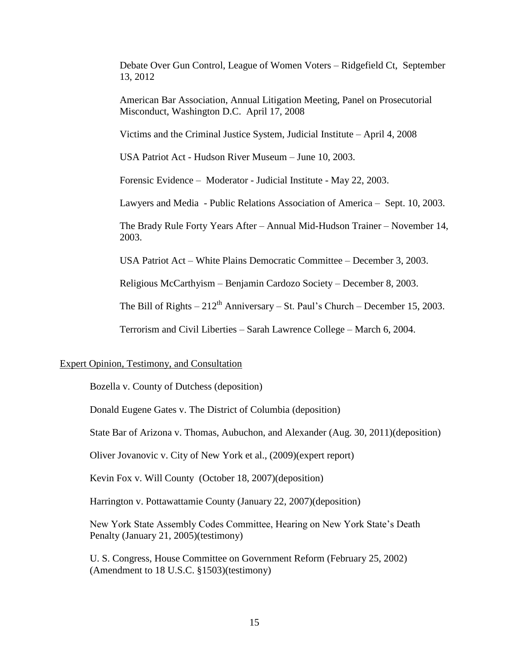Debate Over Gun Control, League of Women Voters – Ridgefield Ct, September 13, 2012

American Bar Association, Annual Litigation Meeting, Panel on Prosecutorial Misconduct, Washington D.C. April 17, 2008

Victims and the Criminal Justice System, Judicial Institute – April 4, 2008

USA Patriot Act - Hudson River Museum – June 10, 2003.

Forensic Evidence – Moderator - Judicial Institute - May 22, 2003.

Lawyers and Media - Public Relations Association of America – Sept. 10, 2003.

The Brady Rule Forty Years After – Annual Mid-Hudson Trainer – November 14, 2003.

USA Patriot Act – White Plains Democratic Committee – December 3, 2003.

Religious McCarthyism – Benjamin Cardozo Society – December 8, 2003.

The Bill of Rights –  $212^{th}$  Anniversary – St. Paul's Church – December 15, 2003.

Terrorism and Civil Liberties – Sarah Lawrence College – March 6, 2004.

#### Expert Opinion, Testimony, and Consultation

Bozella v. County of Dutchess (deposition)

Donald Eugene Gates v. The District of Columbia (deposition)

State Bar of Arizona v. Thomas, Aubuchon, and Alexander (Aug. 30, 2011)(deposition)

Oliver Jovanovic v. City of New York et al., (2009)(expert report)

Kevin Fox v. Will County (October 18, 2007)(deposition)

Harrington v. Pottawattamie County (January 22, 2007)(deposition)

New York State Assembly Codes Committee, Hearing on New York State's Death Penalty (January 21, 2005)(testimony)

U. S. Congress, House Committee on Government Reform (February 25, 2002) (Amendment to 18 U.S.C. §1503)(testimony)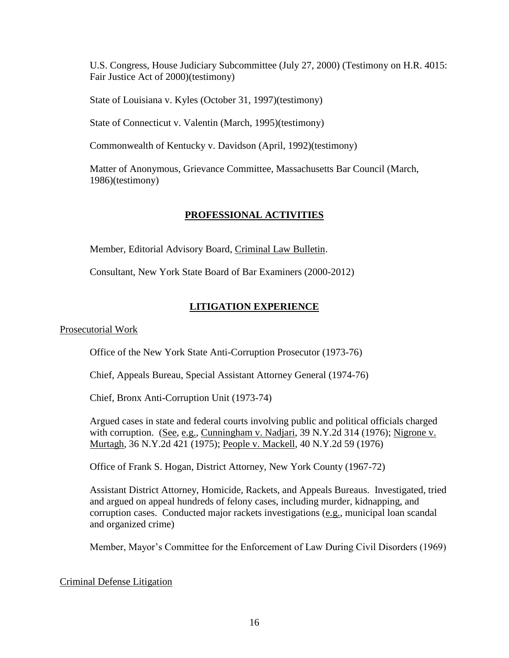U.S. Congress, House Judiciary Subcommittee (July 27, 2000) (Testimony on H.R. 4015: Fair Justice Act of 2000)(testimony)

State of Louisiana v. Kyles (October 31, 1997)(testimony)

State of Connecticut v. Valentin (March, 1995)(testimony)

Commonwealth of Kentucky v. Davidson (April, 1992)(testimony)

Matter of Anonymous, Grievance Committee, Massachusetts Bar Council (March, 1986)(testimony)

# **PROFESSIONAL ACTIVITIES**

Member, Editorial Advisory Board, Criminal Law Bulletin.

Consultant, New York State Board of Bar Examiners (2000-2012)

# **LITIGATION EXPERIENCE**

## Prosecutorial Work

Office of the New York State Anti-Corruption Prosecutor (1973-76)

Chief, Appeals Bureau, Special Assistant Attorney General (1974-76)

Chief, Bronx Anti-Corruption Unit (1973-74)

Argued cases in state and federal courts involving public and political officials charged with corruption. (See, e.g., Cunningham v. Nadjari, 39 N.Y.2d 314 (1976); Nigrone v. Murtagh, 36 N.Y.2d 421 (1975); People v. Mackell, 40 N.Y.2d 59 (1976)

Office of Frank S. Hogan, District Attorney, New York County (1967-72)

Assistant District Attorney, Homicide, Rackets, and Appeals Bureaus. Investigated, tried and argued on appeal hundreds of felony cases, including murder, kidnapping, and corruption cases. Conducted major rackets investigations (e.g., municipal loan scandal and organized crime)

Member, Mayor's Committee for the Enforcement of Law During Civil Disorders (1969)

## Criminal Defense Litigation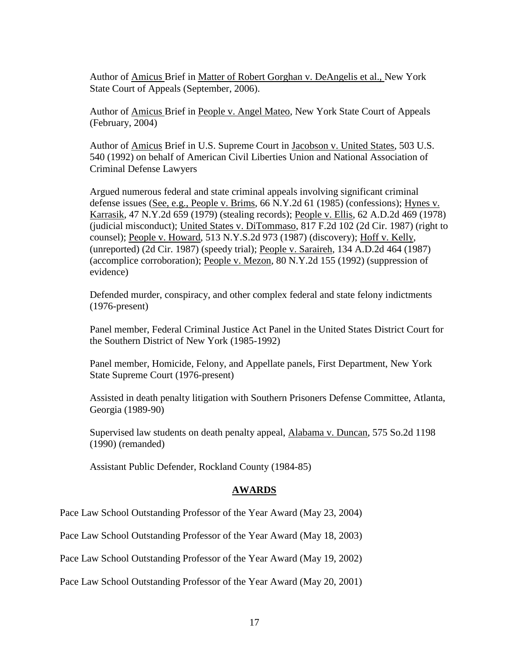Author of Amicus Brief in Matter of Robert Gorghan v. DeAngelis et al., New York State Court of Appeals (September, 2006).

Author of Amicus Brief in People v. Angel Mateo, New York State Court of Appeals (February, 2004)

Author of Amicus Brief in U.S. Supreme Court in Jacobson v. United States, 503 U.S. 540 (1992) on behalf of American Civil Liberties Union and National Association of Criminal Defense Lawyers

Argued numerous federal and state criminal appeals involving significant criminal defense issues (See, e.g., People v. Brims, 66 N.Y.2d 61 (1985) (confessions); Hynes v. Karrasik, 47 N.Y.2d 659 (1979) (stealing records); People v. Ellis, 62 A.D.2d 469 (1978) (judicial misconduct); United States v. DiTommaso, 817 F.2d 102 (2d Cir. 1987) (right to counsel); People v. Howard, 513 N.Y.S.2d 973 (1987) (discovery); Hoff v. Kelly, (unreported) (2d Cir. 1987) (speedy trial); People v. Saraireh, 134 A.D.2d 464 (1987) (accomplice corroboration); People v. Mezon, 80 N.Y.2d 155 (1992) (suppression of evidence)

Defended murder, conspiracy, and other complex federal and state felony indictments (1976-present)

Panel member, Federal Criminal Justice Act Panel in the United States District Court for the Southern District of New York (1985-1992)

Panel member, Homicide, Felony, and Appellate panels, First Department, New York State Supreme Court (1976-present)

Assisted in death penalty litigation with Southern Prisoners Defense Committee, Atlanta, Georgia (1989-90)

Supervised law students on death penalty appeal, Alabama v. Duncan, 575 So.2d 1198 (1990) (remanded)

Assistant Public Defender, Rockland County (1984-85)

## **AWARDS**

Pace Law School Outstanding Professor of the Year Award (May 23, 2004)

Pace Law School Outstanding Professor of the Year Award (May 18, 2003)

Pace Law School Outstanding Professor of the Year Award (May 19, 2002)

Pace Law School Outstanding Professor of the Year Award (May 20, 2001)